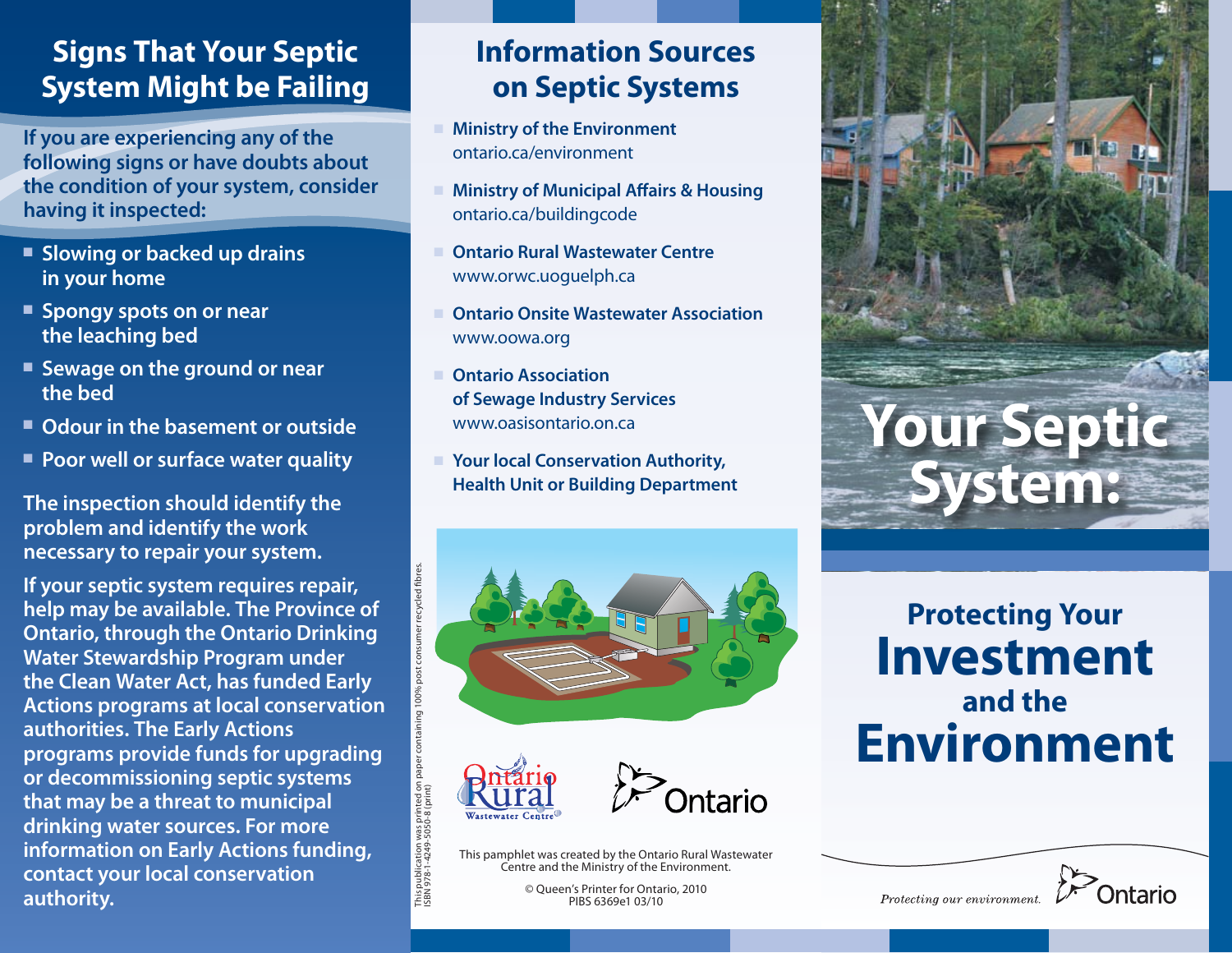### **Signs That Your Septic System Might be Failing**

**If you are experiencing any of the following signs or have doubts about the condition of your system, consider having it inspected:**

- **Example 3 Slowing or backed up drains in your home**
- **Example 3 Spongy spots on or near the leaching bed**
- **Example 3 Sewage on the ground or near the bed**
- Odour in the basement or outside
- **Poor well or surface water quality**

**The inspection should identify the problem and identify the work necessary to repair your system.**

**If your septic system requires repair, help may be available. The Province of Ontario, through the Ontario Drinking Water Stewardship Program under the Clean Water Act, has funded Early Actions programs at local conservation authorities. The Early Actions programs provide funds for upgrading or decommissioning septic systems that may be a threat to municipal drinking water sources. For more information on Early Actions funding, contact your local conservation authority.**

## **Information Sources on Septic Systems**

- **Ministry of the Environment** ontario.ca/environment
- Ministry of Municipal Affairs & Housing ontario.ca/buildingcode
- <sup>n</sup> **Ontario Rural Wastewater Centre** www.orwc.uoguelph.ca
- **Ontario Onsite Wastewater Association** www.oowa.org
- **Ontario Association of Sewage Industry Services** www.oasisontario.on.ca
- Your local Conservation Authority, **Health Unit or Building Department**





ISBN 978-1-4249-5050-8 (print)

ition was pr<br>4249-5050-

publ<br>978



This pamphlet was created by the Ontario Rural Wastewater Centre and the Ministry of the Environment.

> © Queen's Printer for Ontario, 2010 PIBS 6369e1 03/10



# **Protecting Your Investment and the Environment**



Protecting our environment.